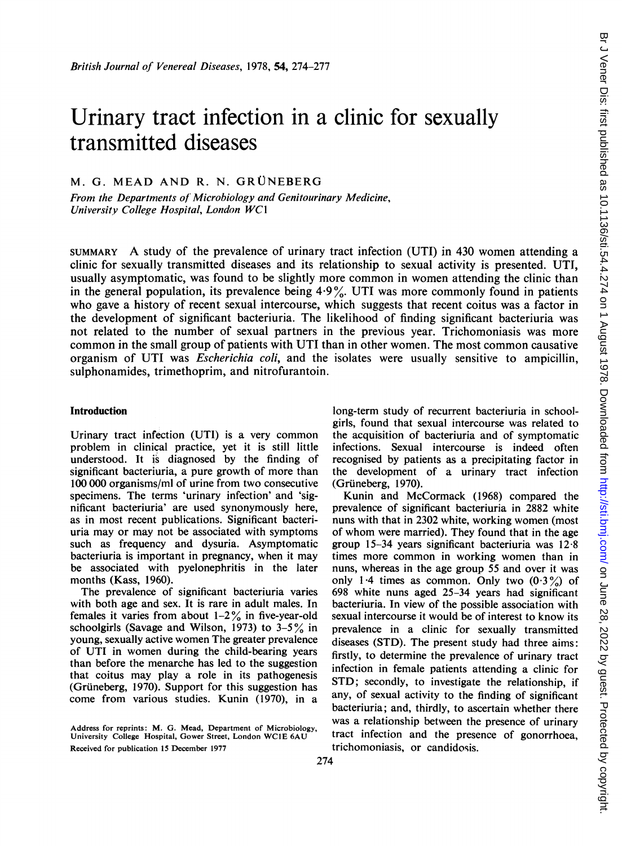# Urinary tract infection in a clinic for sexually transmitted diseases

M. G. MEAD AND R. N. GRUNEBERG

From the Departments of'Microbiology and Genitourinary Medicine, University College Hospital, London WC1

SUMMARY A study of the prevalence of urinary tract infection (UTI) in <sup>430</sup> women attending <sup>a</sup> clinic for sexually transmitted diseases and its relationship to sexual activity is presented. UTI, usually asymptomatic, was found to be slightly more common in women attending the clinic than in the general population, its prevalence being  $4.9\%$ . UTI was more commonly found in patients who gave a history of recent sexual intercourse, which suggests that recent coitus was a factor in the development of significant bacteriuria. The likelihood of finding significant bacteriuria was not related to the number of sexual partners in the previous year. Trichomoniasis was more common in the small group of patients with UTI than in other women. The most common causative organism of UTI was Escherichia coli, and the isolates were usually sensitive to ampicillin, sulphonamides, trimethoprim, and nitrofurantoin.

## Introduction

Urinary tract infection (UTI) is a very common problem in clinical practice, yet it is still little understood. It is diagnosed by the finding of significant bacteriuria, a pure growth of more than 100 000 organisms/ml of urine from two consecutive specimens. The terms 'urinary infection' and 'significant bacteriuria' are used synonymously here, as in most recent publications. Significant bacteriuria may or may not be associated with symptoms such as frequency and dysuria. Asymptomatic bacteriuria is important in pregnancy, when it may be associated with pyelonephritis in the later months (Kass, 1960).

The prevalence of significant bacteriuria varies with both age and sex. It is rare in adult males. In females it varies from about  $1-2\%$  in five-year-old schoolgirls (Savage and Wilson, 1973) to  $3-5\%$  in young, sexually active women The greater prevalence of UTI in women during the child-bearing years than before the menarche has led to the suggestion that coitus may play a role in its pathogenesis (Grüneberg, 1970). Support for this suggestion has come from various studies. Kunin (1970), in a long-term study of recurrent bacteriuria in schoolgirls, found that sexual intercourse was related to the acquisition of bacteriuria and of symptomatic infections. Sexual intercourse is indeed often recognised by patients as a precipitating factor in the development of a urinary tract infection (Grüneberg, 1970).

Kunin and McCormack (1968) compared the prevalence of significant bacteriuria in 2882 white nuns with that in 2302 white, working women (most of whom were married). They found that in the age group 15-34 years significant bacteriuria was 12 8 times more common in working women than in nuns, whereas in the age group 55 and over it was only 1.4 times as common. Only two  $(0.3\%)$  of 698 white nuns aged 25-34 years had significant bacteriuria. In view of the possible association with sexual intercourse it would be of interest to know its prevalence in a clinic for sexually transmitted diseases (STD). The present study had three aims: firstly, to determine the prevalence of urinary tract infection in female patients attending a clinic for STD; secondly, to investigate the relationship, if any, of sexual activity to the finding of significant bacteriuria; and, thirdly, to ascertain whether there was a relationship between the presence of urinary tract infection and the presence of gonorrhoea, trichomoniasis, or candidosis.

Address for reprints: M. G. Mead, Department of Microbiology, University College Hospital, Gower Street, London WCIE 6AU Received for publication 15 December 1977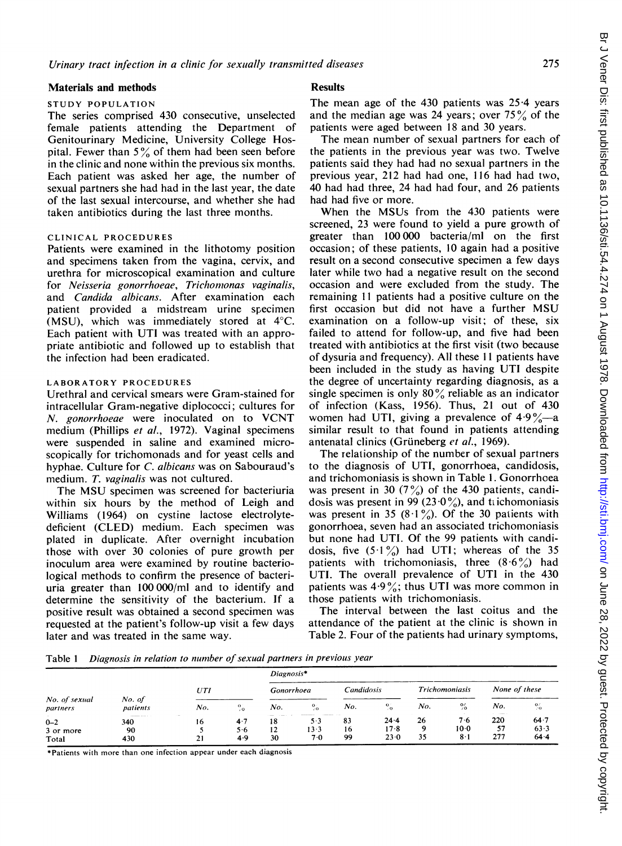#### Materials and methods

#### STUDY POPULATION

The series comprised 430 consecutive, unselected female patients attending the Department of Genitourinary Medicine, University College Hospital. Fewer than  $5\%$  of them had been seen before in the clinic and none within the previous six months. Each patient was asked her age, the number of sexual partners she had had in the last year, the date of the last sexual intercourse, and whether she had taken antibiotics during the last three months.

# CLINICAL PROCEDURES

Patients were examined in the lithotomy position and specimens taken from the vagina, cervix, and urethra for microscopical examination and culture for Neisseria gonorrhoeae, Trichomonas vaginalis, and Candida albicans. After examination each patient provided a midstream urine specimen (MSU), which was immediately stored at 4°C. Each patient with UTI was treated with an appropriate antibiotic and followed up to establish that the infection had been eradicated.

#### LABORATORY PROCEDURES

Urethral and cervical smears were Gram-stained for intracellular Gram-negative diplococci; cultures for N. gonorrhoeae were inoculated on to VCNT medium (Phillips et al., 1972). Vaginal specimens were suspended in saline and examined microscopically for trichomonads and for yeast cells and hyphae. Culture for C. albicans was on Sabouraud's medium. T. vaginalis was not cultured.

The MSU specimen was screened for bacteriuria within six hours by the method of Leigh and Williams (1964) on cystine lactose electrolytedeficient (CLED) medium. Each specimen was plated in duplicate. After overnight incubation those with over 30 colonies of pure growth per inoculum area were examined by routine bacteriological methods to confirm the presence of bacteriuria greater than 100000/ml and to identify and determine the sensitivity of the bacterium. If a positive result was obtained a second specimen was requested at the patient's follow-up visit a few days later and was treated in the same way.

## **Results**

The mean age of the  $430$  patients was  $25.4$  years and the median age was 24 years; over  $75\%$  of the patients were aged between 18 and 30 years.

The mean number of sexual partners for each of the patients in the previous year was two. Twelve patients said they had had no sexual partners in the previous year, 212 had had one, 116 had had two, 40 had had three, 24 had had four, and 26 patients had had five or more.

When the MSUs from the 430 patients were screened, 23 were found to yield a pure growth of greater than 100 000 bacteria/ml on the first occasion; of these patients, 10 again had a positive result on a second consecutive specimen a few days later while two had a negative result on the second occasion and were excluded from the study. The remaining <sup>11</sup> patients had a positive culture on the first occasion but did not have <sup>a</sup> further MSU examination on a follow-up visit; of these, six failed to attend for follow-up, and five had been treated with antibiotics at the first visit (two because of dysuria and frequency). All these 11 patients have been included in the study as having UTI despite the degree of uncertainty regarding diagnosis, as a single specimen is only  $80\%$  reliable as an indicator of infection (Kass, 1956). Thus, 21 out of 430 women had UTI, giving a prevalence of  $4.9\%$ —a similar result to that found in patients attending antenatal clinics (Grüneberg et al., 1969).

The relationship of the number of sexual partners to the diagnosis of UTI, gonorrhoea, candidosis, and trichomoniasis is shown in Table 1. Gonorrhoea was present in 30  $(7\%)$  of the 430 patients, candidosis was present in 99 (23.0%), and trichomoniasis was present in 35 (8·1%). Of the 30 patients with gonorrhoea, seven had an associated trichomoniasis but none had UTI. Of the 99 patients with candidosis, five  $(5.1\%)$  had UTI; whereas of the 35 patients with trichomoniasis, three  $(8.6\%)$  had UTI. The overall prevalence of UTI in the 430 patients was  $4.9\%$ ; thus UTI was more common in those patients with trichomoniasis.

The interval between the last coitus and the attendance of the patient at the clinic is shown in Table 2. Four of the patients had urinary symptoms,

Table <sup>1</sup> Diagnosis in relation to number of sexual partners in previous year

|                               |                    | Diagnosis <sup>*</sup> |                   |                                      |                                  |                |                       |                       |                       |                  |                      |
|-------------------------------|--------------------|------------------------|-------------------|--------------------------------------|----------------------------------|----------------|-----------------------|-----------------------|-----------------------|------------------|----------------------|
|                               |                    | UTI                    |                   | Gonorrhoea                           |                                  | Candidosis     |                       | <b>Trichomoniasis</b> |                       | None of these    |                      |
| No. of sexual<br>partners     | No. of<br>patients | No.                    | $^{\circ}$<br>70  | No.                                  | $^{0}$                           | No.            | $\mathbf{O}$ .<br>70. | No.                   | $^{0/}_{0}$           | No.              | $\frac{9}{20}$       |
| $0 - 2$<br>3 or more<br>Total | 340<br>90<br>430   | 16<br>21               | 4.7<br>5.6<br>4.9 | <b>Service</b> St.<br>18<br>12<br>30 | --------<br>$5-3$<br>13-3<br>7.0 | 83<br>16<br>99 | 24.4<br>$17-8$<br>230 | 26<br>۰<br>35         | 76<br>$10-0$<br>$8-1$ | 220<br>57<br>277 | 64.7<br>63.3<br>64.4 |

\*Patients with more than one infection appear under each diagnosis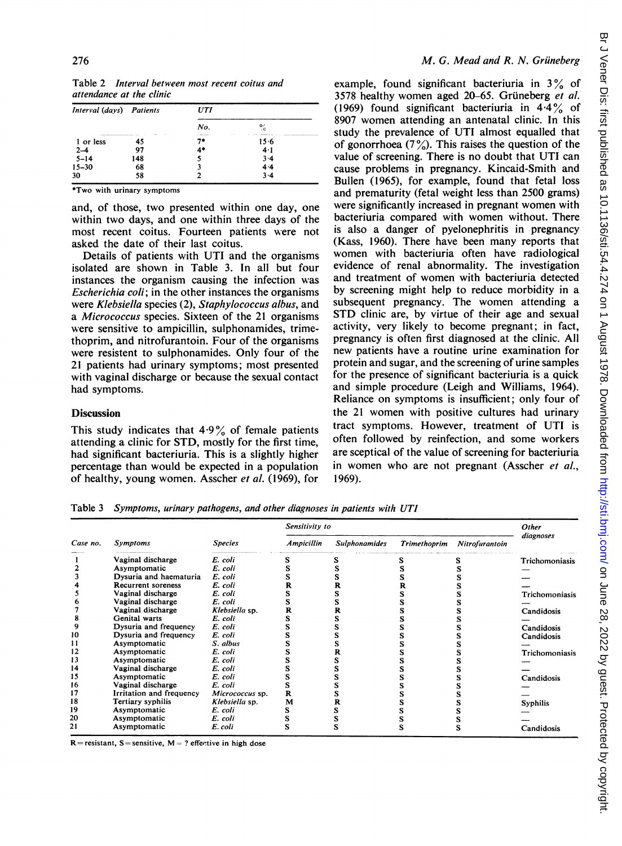| Interval (days) Patients                               |       | UTI              |              |  |  |
|--------------------------------------------------------|-------|------------------|--------------|--|--|
|                                                        |       | No.              | $\mathbf{O}$ |  |  |
| sends advanced and send and send and send<br>1 or less | 14.44 | <b>Continued</b> | $15 - 6$     |  |  |
| $2 - 4$                                                | 97    |                  | 4.1          |  |  |
| $5 - 14$                                               | 148   |                  | 3.4          |  |  |
| $15 - 30$                                              | 68    |                  | 4.4          |  |  |
| 30                                                     | 58    |                  |              |  |  |

Table 2 Interval between most recent coitus and attendance at the clinic

\*Two with urinary symptoms

and, of those, two presented within one day, one within two days, and one within three days of the most recent coitus. Fourteen patients were not asked the date of their last coitus.

Details of patients with UTI and the organisms isolated are shown in Table 3. In all but four instances the organism causing the infection was Escherichia coli; in the other instances the organisms were Klebsiella species (2), Staphylococcus albus, and a Micrococcus species. Sixteen of the 21 organisms were sensitive to ampicillin, sulphonamides, trimethoprim, and nitrofurantoin. Four of the organisms were resistent to sulphonamides. Only four of the 21 patients had urinary symptoms; most presented with vaginal discharge or because the sexual contact had symptoms.

# **Discussion**

This study indicates that  $4.9\%$  of female patients attending a clinic for STD, mostly for the first time, had significant bacteriuria. This is a slightly higher percentage than would be expected in a population of healthy, young women. Asscher et al. (1969), for

example, found significant bacteriuria in  $3\%$  of 3578 healthy women aged 20-65. Gruneberg et al. (1969) found significant bacteriuria in  $4.4\%$  of 8907 women attending an antenatal clinic. In this study the prevalence of UTI almost equalled that of gonorrhoea  $(7\%)$ . This raises the question of the value of screening. There is no doubt that UTI can cause problems in pregnancy. Kincaid-Smith and Bullen (1965), for example, found that fetal loss and prematurity (fetal weight less than 2500 grams) were significantly increased in pregnant women with bacteriuria compared with women without. There is also a danger of pyelonephritis in pregnancy (Kass, 1960). There have been many reports that women with bacteriuria often have radiological evidence of renal abnormality. The investigation and treatment of women with bacteriuria detected by screening might help to reduce morbidity in a subsequent pregnancy. The women attending a STD clinic are, by virtue of their age and sexual activity, very likely to become pregnant; in fact, pregnancy is often first diagnosed at the clinic. All new patients have a routine urine examination for protein and sugar, and the screening of urine samples for the presence of significant bacteriuria is a quick and simple procedure (Leigh and Williams, 1964). Reliance on symptoms is insufficient; only four of the <sup>21</sup> women with positive cultures had urinary tract symptoms. However, treatment of UTI is often followed by reinfection, and some workers are sceptical of the value of screening for bacteriuria in women who are not pregnant (Asscher et al., 1969).

Table <sup>3</sup> Symptoms, urinary pathogens, and other diagnoses in patients with UTI

|          | <b>Symptoms</b>           |                 | Sensitivity to    | Other                |                     |                |                |
|----------|---------------------------|-----------------|-------------------|----------------------|---------------------|----------------|----------------|
| Case no. |                           | <b>Species</b>  | <b>Ampicillin</b> | <b>Sulphonamides</b> | <b>Trimethoprim</b> | Nitrofurantoin | diagnoses      |
|          | Vaginal discharge         | E. coli         |                   |                      |                     |                | Trichomoniasis |
|          | Asymptomatic              | E. coli         |                   |                      |                     |                |                |
|          | Dysuria and haematuria    | E. coli         |                   |                      |                     |                |                |
|          | <b>Recurrent soreness</b> | E. coli         | R                 |                      |                     |                |                |
|          | Vaginal discharge         | E. coli         | s                 |                      |                     |                | Trichomoniasis |
|          | Vaginal discharge         | E. coli         |                   |                      |                     |                |                |
|          | Vaginal discharge         | Klebsiella sp.  | R                 |                      |                     |                | Candidosis     |
| 8        | Genital warts             | E. coli         |                   |                      |                     |                |                |
| 9        | Dysuria and frequency     | E. coli         |                   |                      |                     |                | Candidosis     |
| 10       | Dysuria and frequency     | E. coli         |                   |                      |                     |                | Candidosis     |
| 11       | Asymptomatic              | S. albus        |                   |                      |                     |                |                |
| 12       | Asymptomatic              | E. coli         |                   |                      |                     |                | Trichomoniasis |
| 13       | Asymptomatic              | E. coli         |                   |                      |                     |                |                |
| 14       | Vaginal discharge         | E. coli         |                   |                      |                     |                |                |
| 15       | Asymptomatic              | E. coli         | s                 |                      |                     |                | Candidosis     |
| 16       | Vaginal discharge         | E. coli         | s                 |                      |                     |                |                |
| 17       | Irritation and frequency  | Micrococcus sp. | R                 |                      |                     |                |                |
| 18       | Tertiary syphilis         | Klebsiella sp.  | M                 |                      |                     |                | Syphilis       |
| 19       | Asymptomatic              | E. coli         |                   |                      |                     |                |                |
| 20       | Asymptomatic              | E. coli         |                   |                      |                     |                |                |
| 21       | Asymptomatic              | E. coli         |                   |                      |                     |                | Candidosis     |

 $R =$  resistant, S = sensitive, M = ? effective in high dose